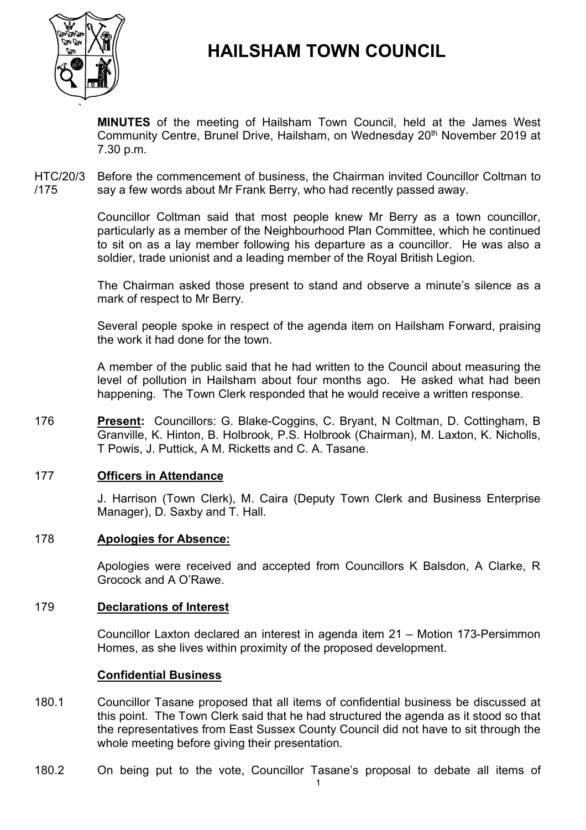

# **HAILSHAM TOWN COUNCIL**

**MINUTES** of the meeting of Hailsham Town Council, held at the James West Community Centre, Brunel Drive, Hailsham, on Wednesday 20<sup>th</sup> November 2019 at 7.30 p.m.

HTC/20/3 /175 Before the commencement of business, the Chairman invited Councillor Coltman to say a few words about Mr Frank Berry, who had recently passed away.

> Councillor Coltman said that most people knew Mr Berry as a town councillor, particularly as a member of the Neighbourhood Plan Committee, which he continued to sit on as a lay member following his departure as a councillor. He was also a soldier, trade unionist and a leading member of the Royal British Legion.

> The Chairman asked those present to stand and observe a minute's silence as a mark of respect to Mr Berry.

> Several people spoke in respect of the agenda item on Hailsham Forward, praising the work it had done for the town.

> A member of the public said that he had written to the Council about measuring the level of pollution in Hailsham about four months ago. He asked what had been happening. The Town Clerk responded that he would receive a written response.

176 **Present:** Councillors: G. Blake-Coggins, C. Bryant, N Coltman, D. Cottingham, B Granville, K. Hinton, B. Holbrook, P.S. Holbrook (Chairman), M. Laxton, K. Nicholls, T Powis, J. Puttick, A M. Ricketts and C. A. Tasane.

# 177 **Officers in Attendance**

J. Harrison (Town Clerk), M. Caira (Deputy Town Clerk and Business Enterprise Manager), D. Saxby and T. Hall.

# 178 **Apologies for Absence:**

Apologies were received and accepted from Councillors K Balsdon, A Clarke, R Grocock and A O'Rawe.

# 179 **Declarations of Interest**

Councillor Laxton declared an interest in agenda item 21 – Motion 173-Persimmon Homes, as she lives within proximity of the proposed development.

# **Confidential Business**

- 180.1 Councillor Tasane proposed that all items of confidential business be discussed at this point. The Town Clerk said that he had structured the agenda as it stood so that the representatives from East Sussex County Council did not have to sit through the whole meeting before giving their presentation.
- 180.2 On being put to the vote, Councillor Tasane's proposal to debate all items of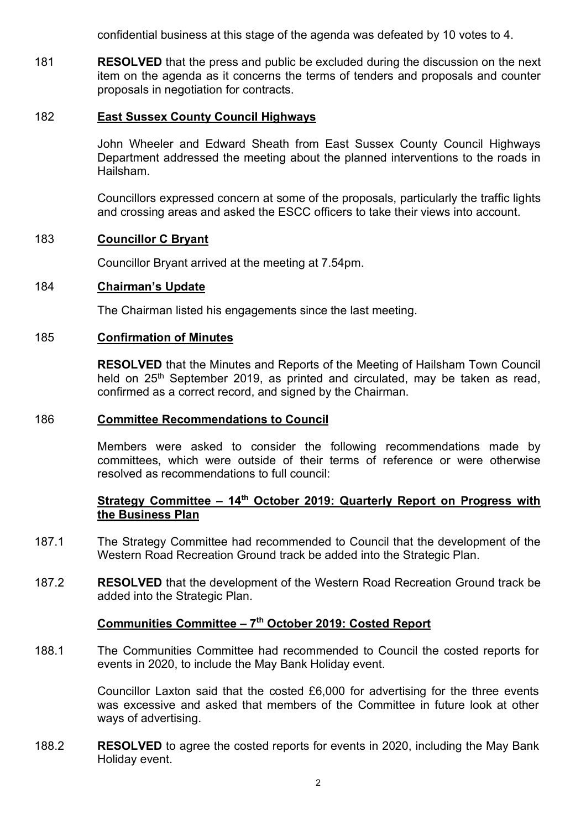confidential business at this stage of the agenda was defeated by 10 votes to 4.

181 **RESOLVED** that the press and public be excluded during the discussion on the next item on the agenda as it concerns the terms of tenders and proposals and counter proposals in negotiation for contracts.

#### 182 **East Sussex County Council Highways**

John Wheeler and Edward Sheath from East Sussex County Council Highways Department addressed the meeting about the planned interventions to the roads in Hailsham.

Councillors expressed concern at some of the proposals, particularly the traffic lights and crossing areas and asked the ESCC officers to take their views into account.

# 183 **Councillor C Bryant**

Councillor Bryant arrived at the meeting at 7.54pm.

#### 184 **Chairman's Update**

The Chairman listed his engagements since the last meeting.

#### 185 **Confirmation of Minutes**

**RESOLVED** that the Minutes and Reports of the Meeting of Hailsham Town Council held on 25<sup>th</sup> September 2019, as printed and circulated, may be taken as read, confirmed as a correct record, and signed by the Chairman.

#### 186 **Committee Recommendations to Council**

Members were asked to consider the following recommendations made by committees, which were outside of their terms of reference or were otherwise resolved as recommendations to full council:

# **Strategy Committee - 14<sup>th</sup> October 2019: Quarterly Report on Progress with the Business Plan**

- 187.1 The Strategy Committee had recommended to Council that the development of the Western Road Recreation Ground track be added into the Strategic Plan.
- 187.2 **RESOLVED** that the development of the Western Road Recreation Ground track be added into the Strategic Plan.

#### **Communities Committee – 7 th October 2019: Costed Report**

188.1 The Communities Committee had recommended to Council the costed reports for events in 2020, to include the May Bank Holiday event.

> Councillor Laxton said that the costed £6,000 for advertising for the three events was excessive and asked that members of the Committee in future look at other ways of advertising.

188.2 **RESOLVED** to agree the costed reports for events in 2020, including the May Bank Holiday event.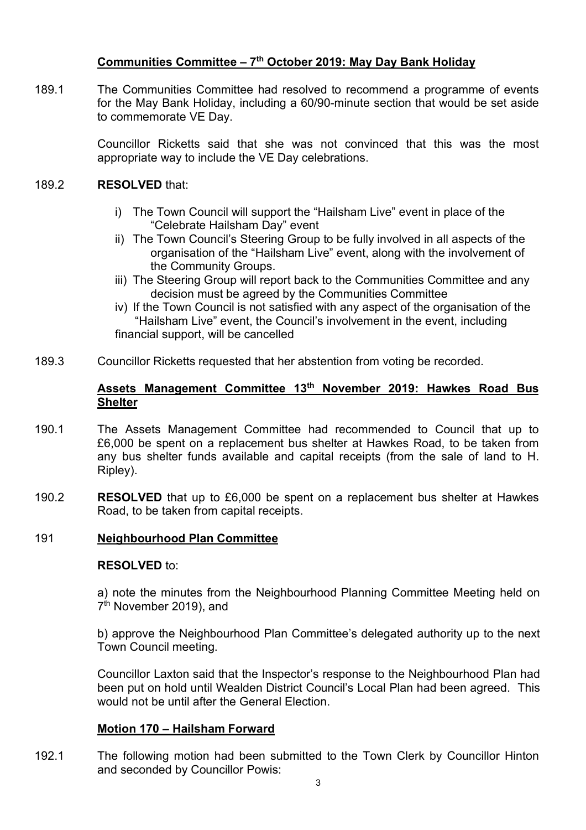# **Communities Committee – 7 th October 2019: May Day Bank Holiday**

189.1 The Communities Committee had resolved to recommend a programme of events for the May Bank Holiday, including a 60/90-minute section that would be set aside to commemorate VE Day.

> Councillor Ricketts said that she was not convinced that this was the most appropriate way to include the VE Day celebrations.

#### 189.2 **RESOLVED** that:

- i) The Town Council will support the "Hailsham Live" event in place of the "Celebrate Hailsham Day" event
- ii) The Town Council's Steering Group to be fully involved in all aspects of the organisation of the "Hailsham Live" event, along with the involvement of the Community Groups.
- iii) The Steering Group will report back to the Communities Committee and any decision must be agreed by the Communities Committee
- iv) If the Town Council is not satisfied with any aspect of the organisation of the "Hailsham Live" event, the Council's involvement in the event, including financial support, will be cancelled
- 189.3 Councillor Ricketts requested that her abstention from voting be recorded.

# **Assets Management Committee 13 th November 2019: Hawkes Road Bus Shelter**

- 190.1 The Assets Management Committee had recommended to Council that up to £6,000 be spent on a replacement bus shelter at Hawkes Road, to be taken from any bus shelter funds available and capital receipts (from the sale of land to H. Ripley).
- 190.2 **RESOLVED** that up to £6,000 be spent on a replacement bus shelter at Hawkes Road, to be taken from capital receipts.

# 191 **Neighbourhood Plan Committee**

# **RESOLVED** to:

a) note the minutes from the Neighbourhood Planning Committee Meeting held on 7 th November 2019), and

b) approve the Neighbourhood Plan Committee's delegated authority up to the next Town Council meeting.

Councillor Laxton said that the Inspector's response to the Neighbourhood Plan had been put on hold until Wealden District Council's Local Plan had been agreed. This would not be until after the General Election.

# **Motion 170 – Hailsham Forward**

192.1 The following motion had been submitted to the Town Clerk by Councillor Hinton and seconded by Councillor Powis: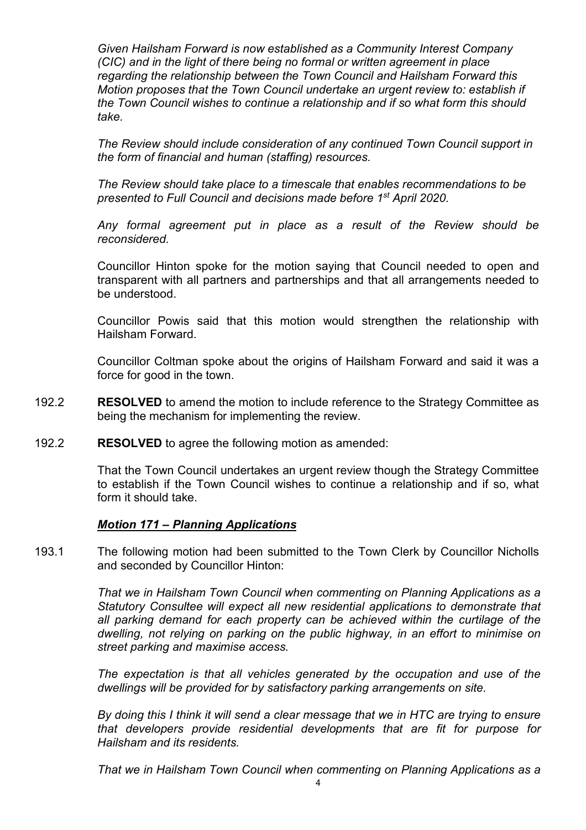*Given Hailsham Forward is now established as a Community Interest Company (CIC) and in the light of there being no formal or written agreement in place regarding the relationship between the Town Council and Hailsham Forward this Motion proposes that the Town Council undertake an urgent review to: establish if the Town Council wishes to continue a relationship and if so what form this should take.*

*The Review should include consideration of any continued Town Council support in the form of financial and human (staffing) resources.*

*The Review should take place to a timescale that enables recommendations to be presented to Full Council and decisions made before 1st April 2020.* 

*Any formal agreement put in place as a result of the Review should be reconsidered.*

Councillor Hinton spoke for the motion saying that Council needed to open and transparent with all partners and partnerships and that all arrangements needed to be understood.

Councillor Powis said that this motion would strengthen the relationship with Hailsham Forward.

Councillor Coltman spoke about the origins of Hailsham Forward and said it was a force for good in the town.

- 192.2 **RESOLVED** to amend the motion to include reference to the Strategy Committee as being the mechanism for implementing the review.
- 192.2 **RESOLVED** to agree the following motion as amended:

That the Town Council undertakes an urgent review though the Strategy Committee to establish if the Town Council wishes to continue a relationship and if so, what form it should take.

# *Motion 171 – Planning Applications*

193.1 The following motion had been submitted to the Town Clerk by Councillor Nicholls and seconded by Councillor Hinton:

> *That we in Hailsham Town Council when commenting on Planning Applications as a Statutory Consultee will expect all new residential applications to demonstrate that all parking demand for each property can be achieved within the curtilage of the dwelling, not relying on parking on the public highway, in an effort to minimise on street parking and maximise access.*

> *The expectation is that all vehicles generated by the occupation and use of the dwellings will be provided for by satisfactory parking arrangements on site.*

> *By doing this I think it will send a clear message that we in HTC are trying to ensure that developers provide residential developments that are fit for purpose for Hailsham and its residents.*

> *That we in Hailsham Town Council when commenting on Planning Applications as a*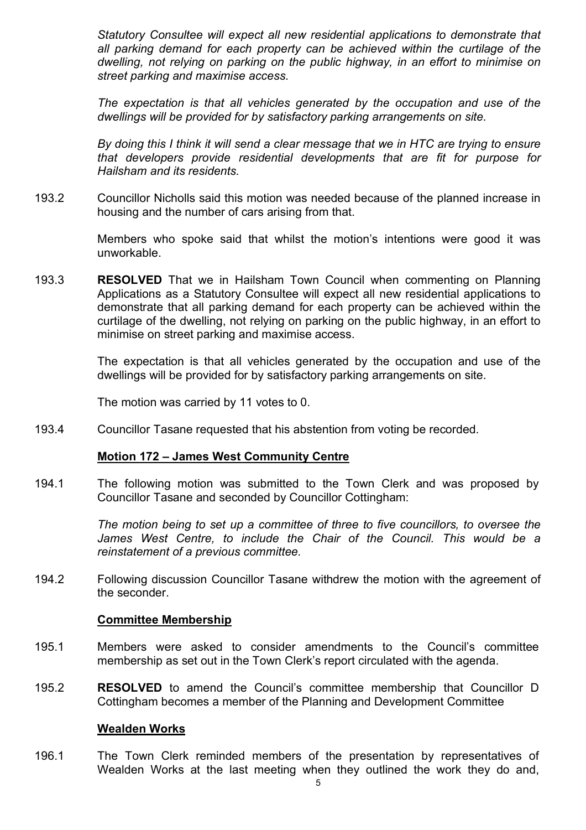*Statutory Consultee will expect all new residential applications to demonstrate that all parking demand for each property can be achieved within the curtilage of the dwelling, not relying on parking on the public highway, in an effort to minimise on street parking and maximise access.*

*The expectation is that all vehicles generated by the occupation and use of the dwellings will be provided for by satisfactory parking arrangements on site.*

*By doing this I think it will send a clear message that we in HTC are trying to ensure that developers provide residential developments that are fit for purpose for Hailsham and its residents.*

193.2 Councillor Nicholls said this motion was needed because of the planned increase in housing and the number of cars arising from that.

> Members who spoke said that whilst the motion's intentions were good it was unworkable.

193.3 **RESOLVED** That we in Hailsham Town Council when commenting on Planning Applications as a Statutory Consultee will expect all new residential applications to demonstrate that all parking demand for each property can be achieved within the curtilage of the dwelling, not relying on parking on the public highway, in an effort to minimise on street parking and maximise access.

> The expectation is that all vehicles generated by the occupation and use of the dwellings will be provided for by satisfactory parking arrangements on site.

The motion was carried by 11 votes to 0.

193.4 Councillor Tasane requested that his abstention from voting be recorded.

#### **Motion 172 – James West Community Centre**

194.1 The following motion was submitted to the Town Clerk and was proposed by Councillor Tasane and seconded by Councillor Cottingham:

> *The motion being to set up a committee of three to five councillors, to oversee the James West Centre, to include the Chair of the Council. This would be a reinstatement of a previous committee.*

194.2 Following discussion Councillor Tasane withdrew the motion with the agreement of the seconder.

#### **Committee Membership**

- 195.1 Members were asked to consider amendments to the Council's committee membership as set out in the Town Clerk's report circulated with the agenda.
- 195.2 **RESOLVED** to amend the Council's committee membership that Councillor D Cottingham becomes a member of the Planning and Development Committee

#### **Wealden Works**

196.1 The Town Clerk reminded members of the presentation by representatives of Wealden Works at the last meeting when they outlined the work they do and,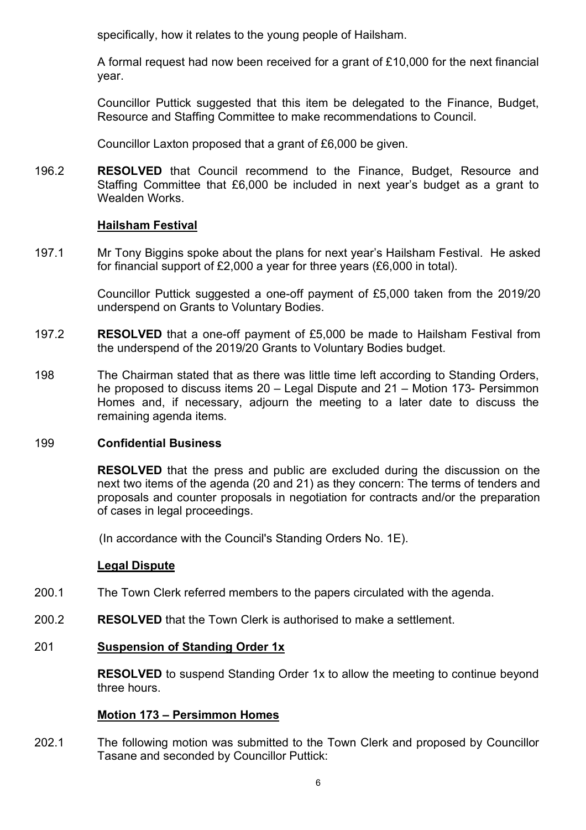specifically, how it relates to the young people of Hailsham.

A formal request had now been received for a grant of £10,000 for the next financial year.

Councillor Puttick suggested that this item be delegated to the Finance, Budget, Resource and Staffing Committee to make recommendations to Council.

Councillor Laxton proposed that a grant of £6,000 be given.

196.2 **RESOLVED** that Council recommend to the Finance, Budget, Resource and Staffing Committee that £6,000 be included in next year's budget as a grant to Wealden Works.

# **Hailsham Festival**

197.1 Mr Tony Biggins spoke about the plans for next year's Hailsham Festival. He asked for financial support of £2,000 a year for three years (£6,000 in total).

> Councillor Puttick suggested a one-off payment of £5,000 taken from the 2019/20 underspend on Grants to Voluntary Bodies.

- 197.2 **RESOLVED** that a one-off payment of £5,000 be made to Hailsham Festival from the underspend of the 2019/20 Grants to Voluntary Bodies budget.
- 198 The Chairman stated that as there was little time left according to Standing Orders, he proposed to discuss items 20 – Legal Dispute and 21 – Motion 173- Persimmon Homes and, if necessary, adjourn the meeting to a later date to discuss the remaining agenda items.

# 199 **Confidential Business**

**RESOLVED** that the press and public are excluded during the discussion on the next two items of the agenda (20 and 21) as they concern: The terms of tenders and proposals and counter proposals in negotiation for contracts and/or the preparation of cases in legal proceedings.

(In accordance with the Council's Standing Orders No. 1E).

# **Legal Dispute**

- 200.1 The Town Clerk referred members to the papers circulated with the agenda.
- 200.2 **RESOLVED** that the Town Clerk is authorised to make a settlement.

# 201 **Suspension of Standing Order 1x**

**RESOLVED** to suspend Standing Order 1x to allow the meeting to continue beyond three hours.

# **Motion 173 – Persimmon Homes**

202.1 The following motion was submitted to the Town Clerk and proposed by Councillor Tasane and seconded by Councillor Puttick: